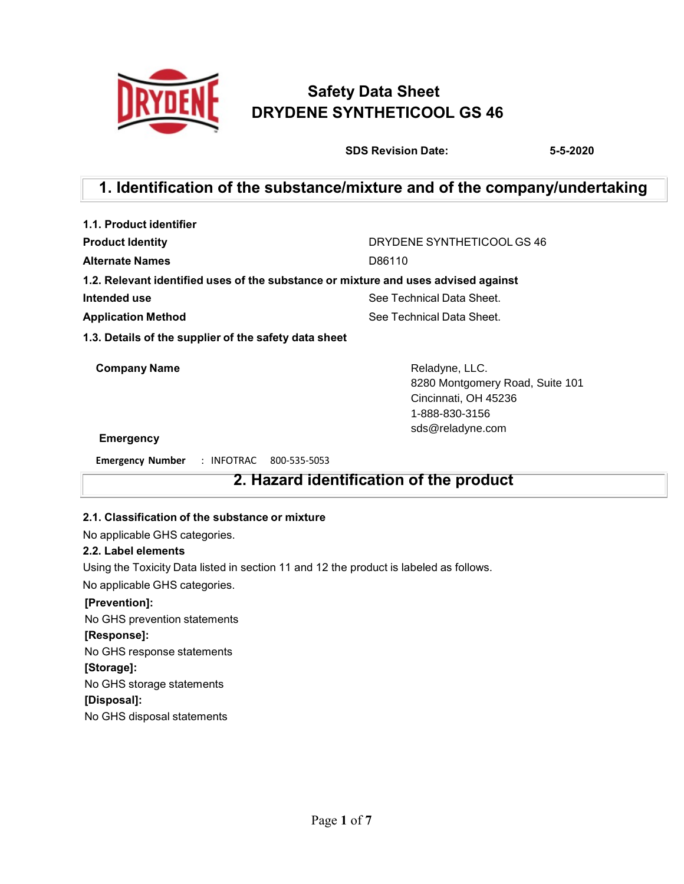

# **Safety Data Sheet DRYDENE SYNTHETICOOL GS 46**

**SDS Revision Date: 5-5-2020**

# **1. Identification of the substance/mixture and of the company/undertaking**

| 1.1. Product identifier                                                            |                            |
|------------------------------------------------------------------------------------|----------------------------|
| <b>Product Identity</b>                                                            | DRYDENE SYNTHETICOOL GS 46 |
| <b>Alternate Names</b>                                                             | D86110                     |
| 1.2. Relevant identified uses of the substance or mixture and uses advised against |                            |
| Intended use                                                                       | See Technical Data Sheet.  |
| <b>Application Method</b>                                                          | See Technical Data Sheet.  |
| 1.3. Details of the supplier of the safety data sheet                              |                            |

**Company Name** Reladyne, LLC.

8280 Montgomery Road, Suite 101 Cincinnati, OH 45236 1-888-830-3156 sds@reladyne.com

### **Emergency**

**Emergency Number** : INFOTRAC 800-535-5053

# **2. Hazard identification of the product**

### **2.1. Classification of the substance or mixture**

No applicable GHS categories.

### **2.2. Label elements**

Using the Toxicity Data listed in section 11 and 12 the product is labeled as follows.

No applicable GHS categories.

### **[Prevention]:**

No GHS prevention statements **[Response]:** No GHS response statements **[Storage]:** No GHS storage statements **[Disposal]:** No GHS disposal statements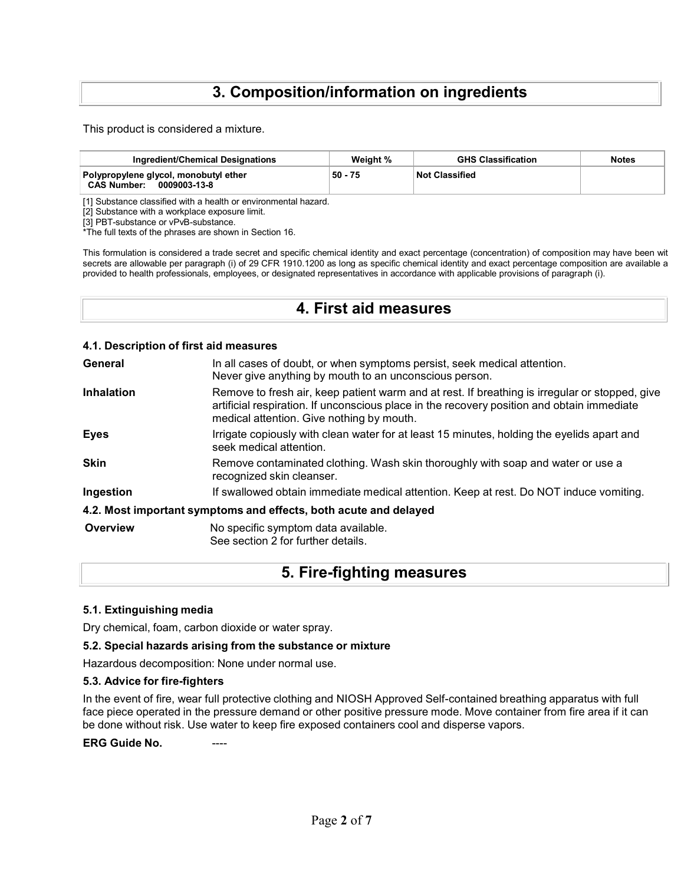# **3. Composition/information on ingredients**

This product is considered a mixture.

| Ingredient/Chemical Designations                                            | Weight % | <b>GHS Classification</b> | <b>Notes</b> |
|-----------------------------------------------------------------------------|----------|---------------------------|--------------|
| Polypropylene glycol, monobutyl ether<br><b>CAS Number:</b><br>0009003-13-8 | 50 - 75  | Not Classified            |              |

[1] Substance classified with a health or environmental hazard.

[2] Substance with a workplace exposure limit.

[3] PBT-substance or vPvB-substance.

\*The full texts of the phrases are shown in Section 16.

This formulation is considered a trade secret and specific chemical identity and exact percentage (concentration) of composition may have been wit secrets are allowable per paragraph (i) of 29 CFR 1910.1200 as long as specific chemical identity and exact percentage composition are available a provided to health professionals, employees, or designated representatives in accordance with applicable provisions of paragraph (i).

# **4. First aid measures**

### **4.1. Description of first aid measures**

| General           | In all cases of doubt, or when symptoms persist, seek medical attention.<br>Never give anything by mouth to an unconscious person.                                                                                                        |
|-------------------|-------------------------------------------------------------------------------------------------------------------------------------------------------------------------------------------------------------------------------------------|
| <b>Inhalation</b> | Remove to fresh air, keep patient warm and at rest. If breathing is irregular or stopped, give<br>artificial respiration. If unconscious place in the recovery position and obtain immediate<br>medical attention. Give nothing by mouth. |
| <b>Eyes</b>       | Irrigate copiously with clean water for at least 15 minutes, holding the eyelids apart and<br>seek medical attention.                                                                                                                     |
| <b>Skin</b>       | Remove contaminated clothing. Wash skin thoroughly with soap and water or use a<br>recognized skin cleanser.                                                                                                                              |
| Ingestion         | If swallowed obtain immediate medical attention. Keep at rest. Do NOT induce vomiting.                                                                                                                                                    |
|                   | 4.2. Most important symptoms and effects, both acute and delayed                                                                                                                                                                          |
| Overview          | No specific symptom data available.<br>See section 2 for further details.                                                                                                                                                                 |

## **5. Fire-fighting measures**

### **5.1. Extinguishing media**

Dry chemical, foam, carbon dioxide or water spray.

### **5.2. Special hazards arising from the substance or mixture**

Hazardous decomposition: None under normal use.

### **5.3. Advice for fire-fighters**

In the event of fire, wear full protective clothing and NIOSH Approved Self-contained breathing apparatus with full face piece operated in the pressure demand or other positive pressure mode. Move container from fire area if it can be done without risk. Use water to keep fire exposed containers cool and disperse vapors.

**ERG** Guide No.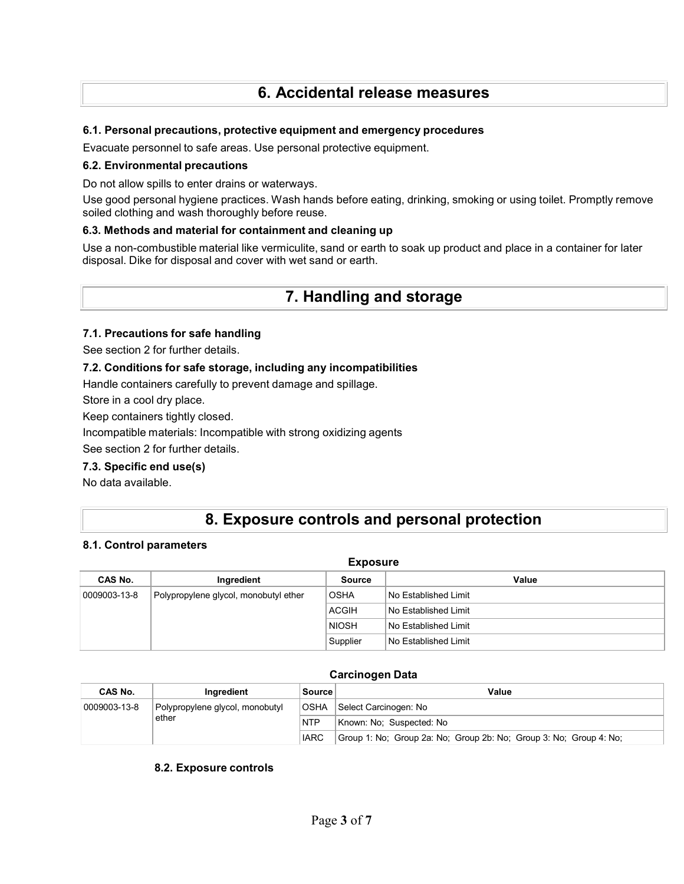# **6. Accidental release measures**

### **6.1. Personal precautions, protective equipment and emergency procedures**

Evacuate personnel to safe areas. Use personal protective equipment.

### **6.2. Environmental precautions**

Do not allow spills to enter drains or waterways.

Use good personal hygiene practices. Wash hands before eating, drinking, smoking or using toilet. Promptly remove soiled clothing and wash thoroughly before reuse.

### **6.3. Methods and material for containment and cleaning up**

Use a non-combustible material like vermiculite, sand or earth to soak up product and place in a container for later disposal. Dike for disposal and cover with wet sand or earth.

# **7. Handling and storage**

### **7.1. Precautions for safe handling**

See section 2 for further details.

### **7.2. Conditions for safe storage, including any incompatibilities**

Handle containers carefully to prevent damage and spillage.

Store in a cool dry place.

Keep containers tightly closed.

Incompatible materials: Incompatible with strong oxidizing agents

See section 2 for further details.

### **7.3. Specific end use(s)**

No data available.

# **8. Exposure controls and personal protection**

### **8.1. Control parameters**

| <b>Exposure</b> |                                       |              |                      |  |
|-----------------|---------------------------------------|--------------|----------------------|--|
| CAS No.         | Ingredient                            | Source       | Value                |  |
| 0009003-13-8    | Polypropylene glycol, monobutyl ether | <b>OSHA</b>  | No Established Limit |  |
|                 |                                       | <b>ACGIH</b> | No Established Limit |  |
|                 |                                       | <b>NIOSH</b> | No Established Limit |  |
|                 |                                       | Supplier     | No Established Limit |  |

### **Carcinogen Data**

| CAS No.      | Ingredient                      | Source      | Value                                                              |
|--------------|---------------------------------|-------------|--------------------------------------------------------------------|
| 0009003-13-8 | Polypropylene glycol, monobutyl | <b>OSHA</b> | Select Carcinogen: No                                              |
| ether        |                                 | <b>NTP</b>  | Known: No: Suspected: No                                           |
|              |                                 | <b>IARC</b> | Group 1: No; Group 2a: No; Group 2b: No; Group 3: No; Group 4: No; |

### **8.2. Exposure controls**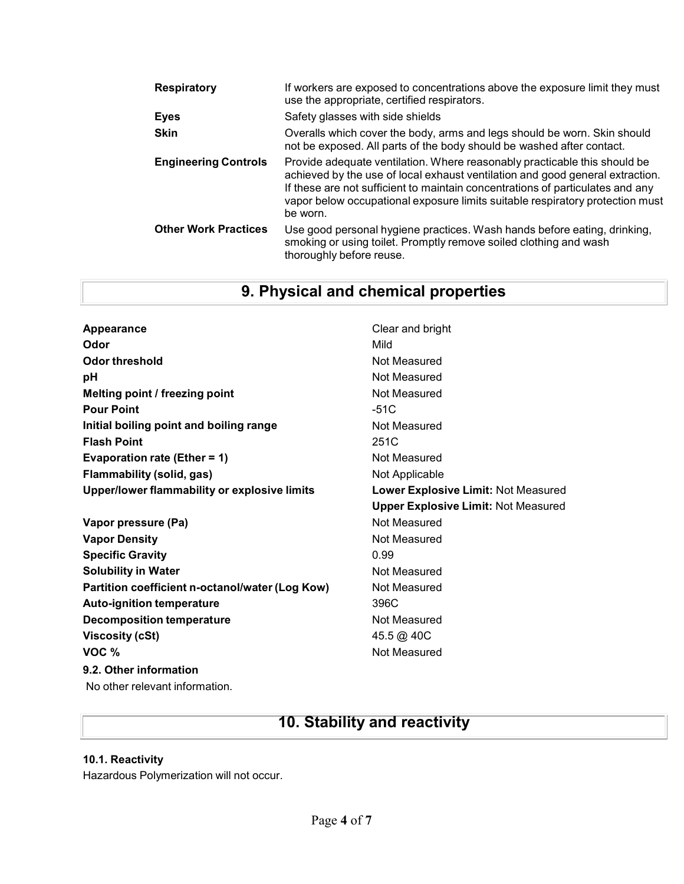| <b>Respiratory</b>          | If workers are exposed to concentrations above the exposure limit they must<br>use the appropriate, certified respirators.                                                                                                                                                                                                                |
|-----------------------------|-------------------------------------------------------------------------------------------------------------------------------------------------------------------------------------------------------------------------------------------------------------------------------------------------------------------------------------------|
| <b>Eyes</b>                 | Safety glasses with side shields                                                                                                                                                                                                                                                                                                          |
| <b>Skin</b>                 | Overalls which cover the body, arms and legs should be worn. Skin should<br>not be exposed. All parts of the body should be washed after contact.                                                                                                                                                                                         |
| <b>Engineering Controls</b> | Provide adequate ventilation. Where reasonably practicable this should be<br>achieved by the use of local exhaust ventilation and good general extraction.<br>If these are not sufficient to maintain concentrations of particulates and any<br>vapor below occupational exposure limits suitable respiratory protection must<br>be worn. |
| <b>Other Work Practices</b> | Use good personal hygiene practices. Wash hands before eating, drinking,<br>smoking or using toilet. Promptly remove soiled clothing and wash<br>thoroughly before reuse.                                                                                                                                                                 |

|  |  |  |  | 9. Physical and chemical properties |
|--|--|--|--|-------------------------------------|
|--|--|--|--|-------------------------------------|

| Appearance                                      | Clear and bright                           |
|-------------------------------------------------|--------------------------------------------|
| Odor                                            | Mild                                       |
| Odor threshold                                  | Not Measured                               |
| рH                                              | Not Measured                               |
| Melting point / freezing point                  | Not Measured                               |
| <b>Pour Point</b>                               | $-51C$                                     |
| Initial boiling point and boiling range         | Not Measured                               |
| <b>Flash Point</b>                              | 251C                                       |
| Evaporation rate (Ether = 1)                    | Not Measured                               |
| <b>Flammability (solid, gas)</b>                | Not Applicable                             |
| Upper/lower flammability or explosive limits    | Lower Explosive Limit: Not Measured        |
|                                                 | <b>Upper Explosive Limit: Not Measured</b> |
| Vapor pressure (Pa)                             | Not Measured                               |
| <b>Vapor Density</b>                            | Not Measured                               |
| <b>Specific Gravity</b>                         | 0.99                                       |
| <b>Solubility in Water</b>                      | Not Measured                               |
| Partition coefficient n-octanol/water (Log Kow) | Not Measured                               |
| <b>Auto-ignition temperature</b>                | 396C                                       |
| <b>Decomposition temperature</b>                | Not Measured                               |
| <b>Viscosity (cSt)</b>                          | 45.5 @ 40C                                 |
| VOC %                                           | Not Measured                               |
| 9.2. Other information                          |                                            |
| No other relevant information.                  |                                            |

# **10. Stability and reactivity**

### **10.1. Reactivity**

Hazardous Polymerization will not occur.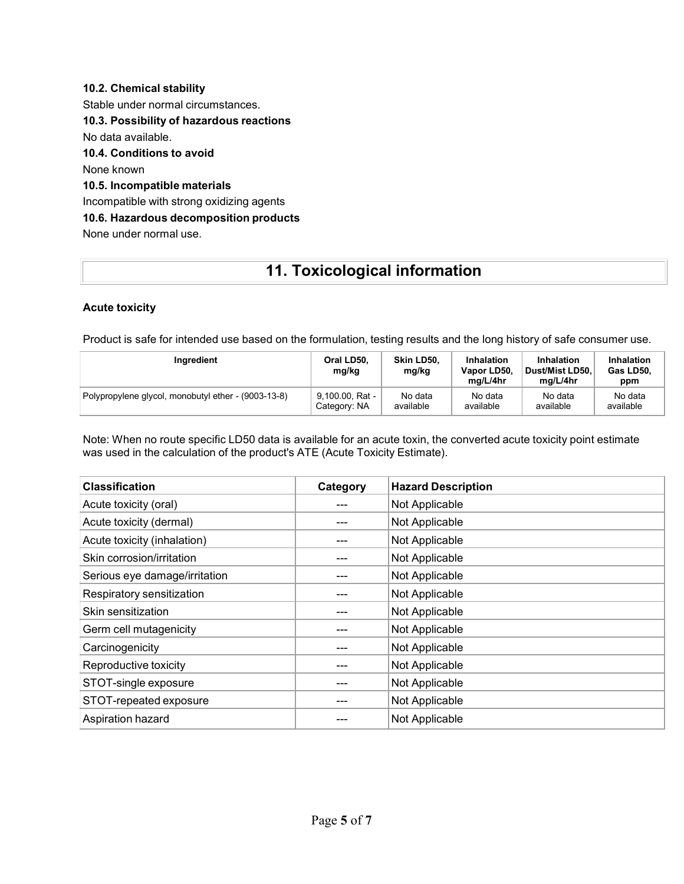## **10.2. Chemical stability** Stable under normal circumstances. **10.3. Possibility of hazardous reactions** No data available. **10.4. Conditions to avoid** None known **10.5. Incompatible materials** Incompatible with strong oxidizing agents **10.6. Hazardous decomposition products** None under normal use.

# **11. Toxicological information**

### **Acute toxicity**

Product is safe for intended use based on the formulation, testing results and the long history of safe consumer use.

| Ingredient                                          | Oral LD50,<br>mg/kg | Skin LD50.<br>mg/kg | Inhalation<br>Vapor LD50,<br>ma/L/4hr | Inhalation<br>Dust/Mist LD50.<br>ma/L/4hr | Inhalation<br>Gas LD50.<br>ppm |
|-----------------------------------------------------|---------------------|---------------------|---------------------------------------|-------------------------------------------|--------------------------------|
| Polypropylene glycol, monobutyl ether - (9003-13-8) | 9.100.00, Rat -     | No data             | No data                               | No data                                   | No data                        |
|                                                     | Category: NA        | available           | available                             | available                                 | available                      |

Note: When no route specific LD50 data is available for an acute toxin, the converted acute toxicity point estimate was used in the calculation of the product's ATE (Acute Toxicity Estimate).

| <b>Classification</b>         | Category | <b>Hazard Description</b> |
|-------------------------------|----------|---------------------------|
| Acute toxicity (oral)         |          | Not Applicable            |
| Acute toxicity (dermal)       |          | Not Applicable            |
| Acute toxicity (inhalation)   |          | Not Applicable            |
| Skin corrosion/irritation     |          | Not Applicable            |
| Serious eye damage/irritation |          | Not Applicable            |
| Respiratory sensitization     |          | Not Applicable            |
| Skin sensitization            | ---      | Not Applicable            |
| Germ cell mutagenicity        |          | Not Applicable            |
| Carcinogenicity               |          | Not Applicable            |
| Reproductive toxicity         |          | Not Applicable            |
| STOT-single exposure          |          | Not Applicable            |
| STOT-repeated exposure        |          | Not Applicable            |
| Aspiration hazard             |          | Not Applicable            |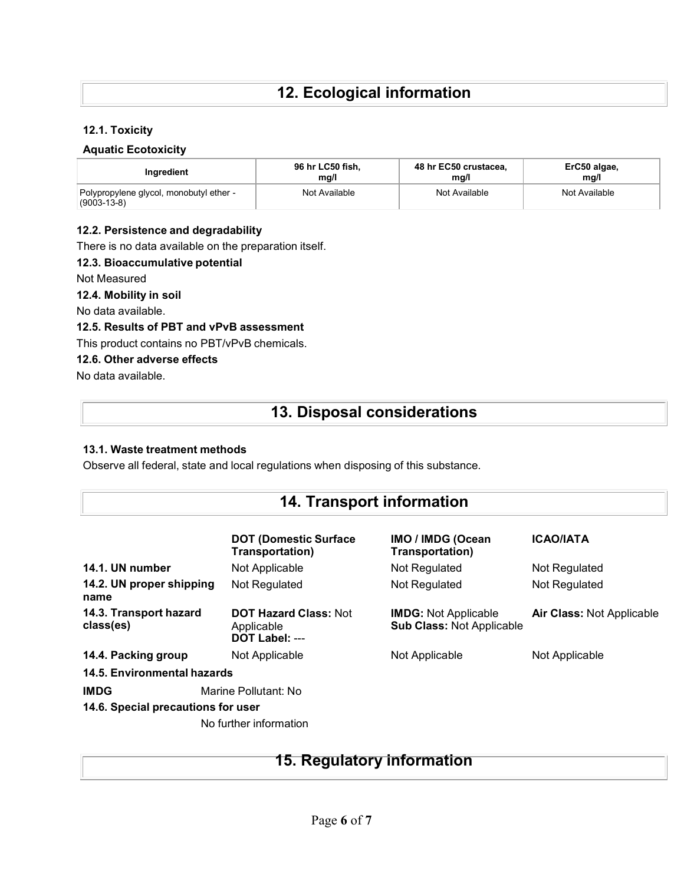### **12.1. Toxicity**

### **Aquatic Ecotoxicity**

| Inaredient                                                   | 96 hr LC50 fish, | 48 hr EC50 crustacea, | ErC50 algae,  |
|--------------------------------------------------------------|------------------|-----------------------|---------------|
|                                                              | ma/l             | ma/l                  | ma/l          |
| Polypropylene glycol, monobutyl ether -<br>$(9003 - 13 - 8)$ | Not Available    | Not Available         | Not Available |

### **12.2. Persistence and degradability**

There is no data available on the preparation itself.

### **12.3. Bioaccumulative potential**

Not Measured

**12.4. Mobility in soil**

No data available.

**12.5. Results of PBT and vPvB assessment**

This product contains no PBT/vPvB chemicals.

### **12.6. Other adverse effects**

No data available.

# **13. Disposal considerations**

### **13.1. Waste treatment methods**

Observe all federal, state and local regulations when disposing of this substance.

# **14. Transport information**

|                                                   | <b>DOT (Domestic Surface)</b><br>Transportation)             | <b>IMO / IMDG (Ocean</b><br>Transportation)                     | <b>ICAO/IATA</b>                 |  |
|---------------------------------------------------|--------------------------------------------------------------|-----------------------------------------------------------------|----------------------------------|--|
| 14.1. UN number                                   | Not Applicable                                               | Not Regulated                                                   | Not Regulated                    |  |
| 14.2. UN proper shipping<br>name                  | Not Regulated                                                | Not Regulated                                                   | Not Regulated                    |  |
| 14.3. Transport hazard<br>class(es)               | <b>DOT Hazard Class: Not</b><br>Applicable<br>DOT Label: --- | <b>IMDG:</b> Not Applicable<br><b>Sub Class: Not Applicable</b> | <b>Air Class: Not Applicable</b> |  |
| 14.4. Packing group                               | Not Applicable                                               | Not Applicable                                                  | Not Applicable                   |  |
| 14.5. Environmental hazards                       |                                                              |                                                                 |                                  |  |
| <b>IMDG</b><br>14.6. Special precautions for user | Marine Pollutant: No                                         |                                                                 |                                  |  |

No further information

# **15. Regulatory information**